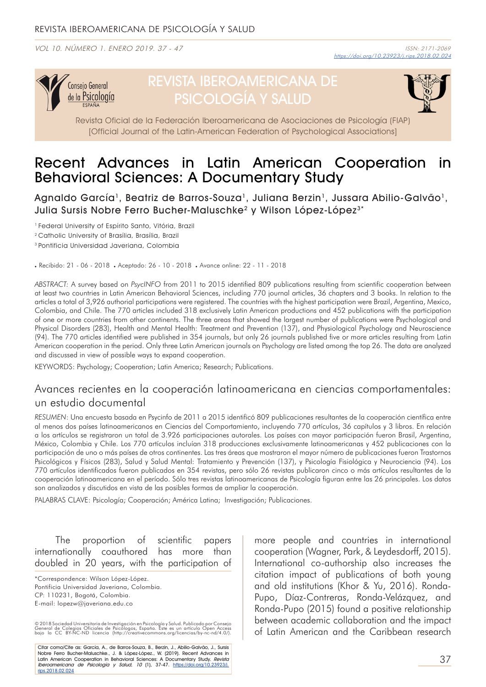VOL 10. NÚMERO 1. ENERO 2019. 37 - 47



# REVISTA IBEROAMERICANA DE PSICOLOGÍA Y SALUD



Revista Oficial de la Federación Iberoamericana de Asociaciones de Psicología (FIAP) [Official Journal of the Latin-American Federation of Psychological Associations]

# Recent Advances in Latin American Cooperation in Behavioral Sciences: A Documentary Study

Agnaldo García<sup>1</sup>, Beatriz de Barros-Souza<sup>1</sup>, Juliana Berzin<sup>1</sup>, Jussara Abilio-Galvão<sup>1</sup>, Julia Sursis Nobre Ferro Bucher-Maluschke<sup>2</sup> y Wilson López-López<sup>3\*</sup>

<sup>1</sup> Federal University of Espírito Santo, Vitória, Brazil

2 Catholic University of Brasília, Brasília, Brazil

3 Pontificia Universidad Javeriana, Colombia

. Recibido: 21 - 06 - 2018 . Aceptado: 26 - 10 - 2018 . Avance online: 22 - 11 - 2018

*ABSTRACT:* A survey based on *PsycINFO* from 2011 to 2015 identified 809 publications resulting from scientific cooperation between at least two countries in Latin American Behavioral Sciences, including 770 journal articles, 36 chapters and 3 books. In relation to the articles a total of 3,926 authorial participations were registered. The countries with the highest participation were Brazil, Argentina, Mexico, Colombia, and Chile. The 770 articles included 318 exclusively Latin American productions and 452 publications with the participation of one or more countries from other continents. The three areas that showed the largest number of publications were Psychological and Physical Disorders (283), Health and Mental Health: Treatment and Prevention (137), and Physiological Psychology and Neuroscience (94). The 770 articles identified were published in 354 journals, but only 26 journals published five or more articles resulting from Latin American cooperation in the period. Only three Latin American journals on Psychology are listed among the top 26. The data are analyzed and discussed in view of possible ways to expand cooperation.

KEYWORDS: Psychology; Cooperation; Latin America; Research; Publications.

### Avances recientes en la cooperación latinoamericana en ciencias comportamentales: un estudio documental

*RESUMEN*: Una encuesta basada en Psycinfo de 2011 a 2015 identificó 809 publicaciones resultantes de la cooperación científica entre al menos dos países latinoamericanos en Ciencias del Comportamiento, incluyendo 770 artículos, 36 capítulos y 3 libros. En relación a los artículos se registraron un total de 3.926 participaciones autorales. Los países con mayor participación fueron Brasil, Argentina, México, Colombia y Chile. Los 770 artículos incluían 318 producciones exclusivamente latinoamericanas y 452 publicaciones con la participación de uno o más países de otros continentes. Las tres áreas que mostraron el mayor número de publicaciones fueron Trastornos Psicológicos y Físicos (283), Salud y Salud Mental: Tratamiento y Prevención (137), y Psicología Fisiológica y Neurociencia (94). Los 770 artículos identificados fueron publicados en 354 revistas, pero sólo 26 revistas publicaron cinco o más artículos resultantes de la cooperación latinoamericana en el período. Sólo tres revistas latinoamericanas de Psicología figuran entre las 26 principales. Los datos son analizados y discutidos en vista de las posibles formas de ampliar la cooperación.

PALABRAS CLAVE: Psicología; Cooperación; América Latina; Investigación; Publicaciones.

The proportion of scientific papers internationally coauthored has more than doubled in 20 years, with the participation of

\*Correspondence: Wilson López-López. Pontificia Universidad Javeriana, Colombia. CP: 110231, Bogotá, Colombia. E-mail: lopezw@javeriana.edu.co

© 2018 Sociedad Universitaria de Investigación en Psicología y Salud. Publicado por Consejo<br>General de Colegios Oficiales de Psicólogos, España. Este es un artículo Open Access<br>bajo la CC BY-NC-ND licencia (http://cre

Citar como/Cite as: García, A., de Barros-Souza, B., Berzin, J., Abilio-Galvão, J., Sursis Nobre Ferro Bucher-Maluschke., J. & López-López., W. (2019). Recent Advances in<br>Latin American Cooperation in Behavioral Sciences: A Documentary Study. *Revista* Iberoamericana de Psicología y Salud, 10 (1), 37-47. https://doi.org/10.23923/j. rips.2018.02.024

more people and countries in international cooperation (Wagner, Park, & Leydesdorff, 2015). International co-authorship also increases the citation impact of publications of both young and old institutions (Khor & Yu, 2016). Ronda-Pupo, Díaz-Contreras, Ronda-Velázquez, and Ronda-Pupo (2015) found a positive relationship between academic collaboration and the impact of Latin American and the Caribbean research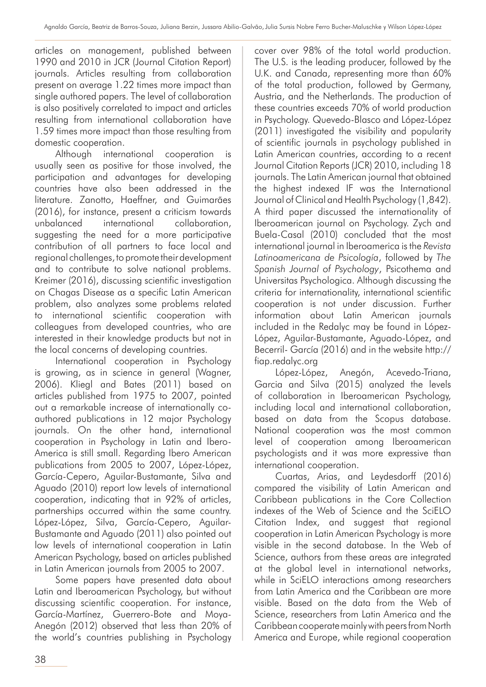articles on management, published between 1990 and 2010 in JCR (Journal Citation Report) journals. Articles resulting from collaboration present on average 1.22 times more impact than single authored papers. The level of collaboration is also positively correlated to impact and articles resulting from international collaboration have 1.59 times more impact than those resulting from domestic cooperation.

Although international cooperation is usually seen as positive for those involved, the participation and advantages for developing countries have also been addressed in the literature. Zanotto, Haeffner, and Guimarães (2016), for instance, present a criticism towards unbalanced international collaboration, suggesting the need for a more participative contribution of all partners to face local and regional challenges, to promote their development and to contribute to solve national problems. Kreimer (2016), discussing scientific investigation on Chagas Disease as a specific Latin American problem, also analyzes some problems related to international scientific cooperation with colleagues from developed countries, who are interested in their knowledge products but not in the local concerns of developing countries.

International cooperation in Psychology is growing, as in science in general (Wagner, 2006). Kliegl and Bates (2011) based on articles published from 1975 to 2007, pointed out a remarkable increase of internationally coauthored publications in 12 major Psychology journals. On the other hand, international cooperation in Psychology in Latin and Ibero-America is still small. Regarding Ibero American publications from 2005 to 2007, López-López, García-Cepero, Aguilar-Bustamante, Silva and Aguado (2010) report low levels of international cooperation, indicating that in 92% of articles, partnerships occurred within the same country. López-López, Silva, García-Cepero, Aguilar-Bustamante and Aguado (2011) also pointed out low levels of international cooperation in Latin American Psychology, based on articles published in Latin American journals from 2005 to 2007.

Some papers have presented data about Latin and Iberoamerican Psychology, but without discussing scientific cooperation. For instance, García-Martínez, Guerrero-Bote and Moya-Anegón (2012) observed that less than 20% of the world's countries publishing in Psychology cover over 98% of the total world production. The U.S. is the leading producer, followed by the U.K. and Canada, representing more than 60% of the total production, followed by Germany, Austria, and the Netherlands. The production of these countries exceeds 70% of world production in Psychology. Quevedo-Blasco and López-López (2011) investigated the visibility and popularity of scientific journals in psychology published in Latin American countries, according to a recent Journal Citation Reports (JCR) 2010, including 18 journals. The Latin American journal that obtained the highest indexed IF was the International Journal of Clinical and Health Psychology (1,842). A third paper discussed the internationality of Iberoamerican journal on Psychology. Zych and Buela-Casal (2010) concluded that the most international journal in Iberoamerica is the *Revista Latinoamericana de Psicología*, followed by *The Spanish Journal of Psychology*, Psicothema and Universitas Psychologica. Although discussing the criteria for internationality, international scientific cooperation is not under discussion. Further information about Latin American journals included in the Redalyc may be found in López-López, Aguilar-Bustamante, Aguado-López, and Becerril- García (2016) and in the website http:// fiap.redalyc.org

López-López, Anegón, Acevedo-Triana, Garcia and Silva (2015) analyzed the levels of collaboration in Iberoamerican Psychology, including local and international collaboration, based on data from the Scopus database. National cooperation was the most common level of cooperation among Iberoamerican psychologists and it was more expressive than international cooperation.

Cuartas, Arias, and Leydesdorff (2016) compared the visibility of Latin American and Caribbean publications in the Core Collection indexes of the Web of Science and the SciELO Citation Index, and suggest that regional cooperation in Latin American Psychology is more visible in the second database. In the Web of Science, authors from these areas are integrated at the global level in international networks, while in SciELO interactions among researchers from Latin America and the Caribbean are more visible. Based on the data from the Web of Science, researchers from Latin America and the Caribbean cooperate mainly with peers from North America and Europe, while regional cooperation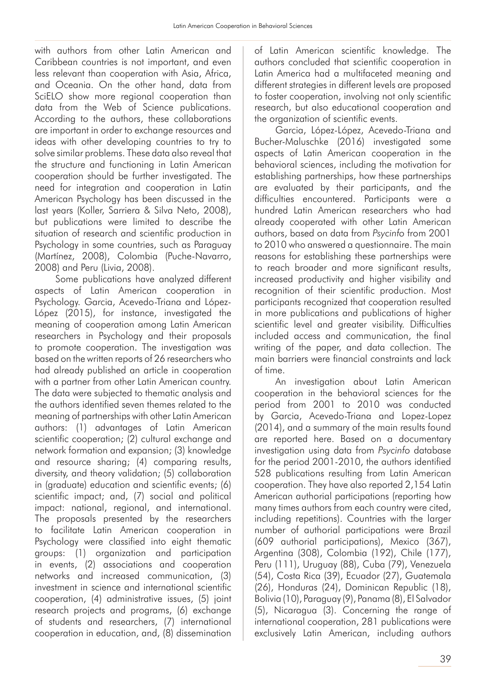with authors from other Latin American and Caribbean countries is not important, and even less relevant than cooperation with Asia, Africa, and Oceania. On the other hand, data from SciELO show more regional cooperation than data from the Web of Science publications. According to the authors, these collaborations are important in order to exchange resources and ideas with other developing countries to try to solve similar problems. These data also reveal that the structure and functioning in Latin American cooperation should be further investigated. The need for integration and cooperation in Latin American Psychology has been discussed in the last years (Koller, Sarriera & Silva Neto, 2008), but publications were limited to describe the situation of research and scientific production in Psychology in some countries, such as Paraguay (Martínez, 2008), Colombia (Puche-Navarro, 2008) and Peru (Livia, 2008).

Some publications have analyzed different aspects of Latin American cooperation in Psychology. Garcia, Acevedo-Triana and López-López (2015), for instance, investigated the meaning of cooperation among Latin American researchers in Psychology and their proposals to promote cooperation. The investigation was based on the written reports of 26 researchers who had already published an article in cooperation with a partner from other Latin American country. The data were subjected to thematic analysis and the authors identified seven themes related to the meaning of partnerships with other Latin American authors: (1) advantages of Latin American scientific cooperation; (2) cultural exchange and network formation and expansion; (3) knowledge and resource sharing; (4) comparing results, diversity, and theory validation; (5) collaboration in (graduate) education and scientific events; (6) scientific impact; and, (7) social and political impact: national, regional, and international. The proposals presented by the researchers to facilitate Latin American cooperation in Psychology were classified into eight thematic groups: (1) organization and participation in events, (2) associations and cooperation networks and increased communication, (3) investment in science and international scientific cooperation, (4) administrative issues, (5) joint research projects and programs, (6) exchange of students and researchers, (7) international cooperation in education, and, (8) dissemination of Latin American scientific knowledge. The authors concluded that scientific cooperation in Latin America had a multifaceted meaning and different strategies in different levels are proposed to foster cooperation, involving not only scientific research, but also educational cooperation and the organization of scientific events.

Garcia, López-López, Acevedo-Triana and Bucher-Maluschke (2016) investigated some aspects of Latin American cooperation in the behavioral sciences, including the motivation for establishing partnerships, how these partnerships are evaluated by their participants, and the difficulties encountered. Participants were a hundred Latin American researchers who had already cooperated with other Latin American authors, based on data from *Psycinfo* from 2001 to 2010 who answered a questionnaire. The main reasons for establishing these partnerships were to reach broader and more significant results, increased productivity and higher visibility and recognition of their scientific production. Most participants recognized that cooperation resulted in more publications and publications of higher scientific level and greater visibility. Difficulties included access and communication, the final writing of the paper, and data collection. The main barriers were financial constraints and lack of time.

An investigation about Latin American cooperation in the behavioral sciences for the period from 2001 to 2010 was conducted by Garcia, Acevedo-Triana and Lopez-Lopez (2014), and a summary of the main results found are reported here. Based on a documentary investigation using data from *Psycinfo* database for the period 2001-2010, the authors identified 528 publications resulting from Latin American cooperation. They have also reported 2,154 Latin American authorial participations (reporting how many times authors from each country were cited, including repetitions). Countries with the larger number of authorial participations were Brazil (609 authorial participations), Mexico (367), Argentina (308), Colombia (192), Chile (177), Peru (111), Uruguay (88), Cuba (79), Venezuela (54), Costa Rica (39), Ecuador (27), Guatemala (26), Honduras (24), Dominican Republic (18), Bolivia (10), Paraguay (9), Panama (8), El Salvador (5), Nicaragua (3). Concerning the range of international cooperation, 281 publications were exclusively Latin American, including authors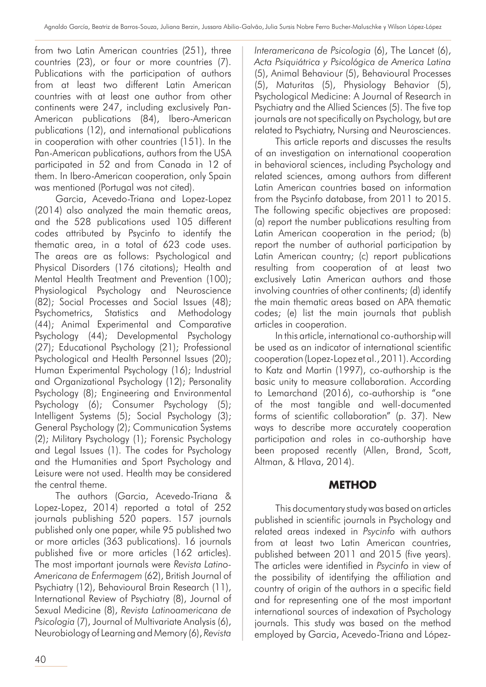from two Latin American countries (251), three countries (23), or four or more countries (7). Publications with the participation of authors from at least two different Latin American countries with at least one author from other continents were 247, including exclusively Pan-American publications (84), Ibero-American publications (12), and international publications in cooperation with other countries (151). In the Pan-American publications, authors from the USA participated in 52 and from Canada in 12 of them. In Ibero-American cooperation, only Spain was mentioned (Portugal was not cited).

Garcia, Acevedo-Triana and Lopez-Lopez (2014) also analyzed the main thematic areas, and the 528 publications used 105 different codes attributed by Psycinfo to identify the thematic area, in a total of 623 code uses. The areas are as follows: Psychological and Physical Disorders (176 citations); Health and Mental Health Treatment and Prevention (100); Physiological Psychology and Neuroscience (82); Social Processes and Social Issues (48); Psychometrics, Statistics and Methodology (44); Animal Experimental and Comparative Psychology (44); Developmental Psychology (27); Educational Psychology (21); Professional Psychological and Health Personnel Issues (20); Human Experimental Psychology (16); Industrial and Organizational Psychology (12); Personality Psychology (8); Engineering and Environmental Psychology (6); Consumer Psychology (5); Intelligent Systems (5); Social Psychology (3); General Psychology (2); Communication Systems (2); Military Psychology (1); Forensic Psychology and Legal Issues (1). The codes for Psychology and the Humanities and Sport Psychology and Leisure were not used. Health may be considered the central theme.

The authors (Garcia, Acevedo-Triana & Lopez-Lopez, 2014) reported a total of 252 journals publishing 520 papers. 157 journals published only one paper, while 95 published two or more articles (363 publications). 16 journals published five or more articles (162 articles). The most important journals were *Revista Latino-Americana de Enfermagem* (62), British Journal of Psychiatry (12), Behavioural Brain Research (11), International Review of Psychiatry (8), Journal of Sexual Medicine (8), *Revista Latinoamericana de Psicologia* (7), Journal of Multivariate Analysis (6), Neurobiology of Learning and Memory (6), *Revista* 

40

*Interamericana de Psicologia* (6), The Lancet (6), *Acta Psiquiátrica y Psicológica de America Latina* (5), Animal Behaviour (5), Behavioural Processes (5), Maturitas (5), Physiology Behavior (5), Psychological Medicine: A Journal of Research in Psychiatry and the Allied Sciences (5). The five top journals are not specifically on Psychology, but are related to Psychiatry, Nursing and Neurosciences.

This article reports and discusses the results of an investigation on international cooperation in behavioral sciences, including Psychology and related sciences, among authors from different Latin American countries based on information from the Psycinfo database, from 2011 to 2015. The following specific objectives are proposed: (a) report the number publications resulting from Latin American cooperation in the period; (b) report the number of authorial participation by Latin American country; (c) report publications resulting from cooperation of at least two exclusively Latin American authors and those involving countries of other continents; (d) identify the main thematic areas based on APA thematic codes; (e) list the main journals that publish articles in cooperation.

In this article, international co-authorship will be used as an indicator of international scientific cooperation (Lopez-Lopez et al., 2011). According to Katz and Martin (1997), co-authorship is the basic unity to measure collaboration. According to Lemarchand (2016), co-authorship is "one of the most tangible and well-documented forms of scientific collaboration" (p. 37). New ways to describe more accurately cooperation participation and roles in co-authorship have been proposed recently (Allen, Brand, Scott, Altman, & Hlava, 2014).

# **METHOD**

This documentary study was based on articles published in scientific journals in Psychology and related areas indexed in *Psycinfo* with authors from at least two Latin American countries, published between 2011 and 2015 (five years). The articles were identified in *Psycinfo* in view of the possibility of identifying the affiliation and country of origin of the authors in a specific field and for representing one of the most important international sources of indexation of Psychology journals. This study was based on the method employed by Garcia, Acevedo-Triana and López-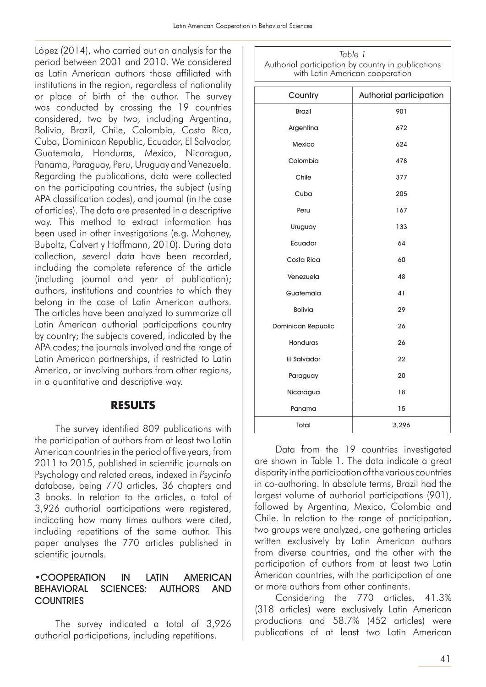López (2014), who carried out an analysis for the period between 2001 and 2010. We considered as Latin American authors those affiliated with institutions in the region, regardless of nationality or place of birth of the author. The survey was conducted by crossing the 19 countries considered, two by two, including Argentina, Bolivia, Brazil, Chile, Colombia, Costa Rica, Cuba, Dominican Republic, Ecuador, El Salvador, Guatemala, Honduras, Mexico, Nicaragua, Panama, Paraguay, Peru, Uruguay and Venezuela. Regarding the publications, data were collected on the participating countries, the subject (using APA classification codes), and journal (in the case of articles). The data are presented in a descriptive way. This method to extract information has been used in other investigations (e.g. Mahoney, Buboltz, Calvert y Hoffmann, 2010). During data collection, several data have been recorded, including the complete reference of the article (including journal and year of publication); authors, institutions and countries to which they belong in the case of Latin American authors. The articles have been analyzed to summarize all Latin American authorial participations country by country; the subjects covered, indicated by the APA codes; the journals involved and the range of Latin American partnerships, if restricted to Latin America, or involving authors from other regions, in a quantitative and descriptive way.

#### **RESULTS**

The survey identified 809 publications with the participation of authors from at least two Latin American countries in the period of five years, from 2011 to 2015, published in scientific journals on Psychology and related areas, indexed in *Psycinfo* database, being 770 articles, 36 chapters and 3 books. In relation to the articles, a total of 3,926 authorial participations were registered, indicating how many times authors were cited, including repetitions of the same author. This paper analyses the 770 articles published in scientific journals.

#### •COOPERATION IN LATIN AMERICAN BEHAVIORAL SCIENCES: AUTHORS AND **COUNTRIES**

The survey indicated a total of 3,926 authorial participations, including repetitions.

*Table 1* Authorial participation by country in publications with Latin American cooperation

| Country            | Authorial participation |
|--------------------|-------------------------|
| <b>Brazil</b>      | 901                     |
| Argentina          | 672                     |
| Mexico             | 624                     |
| Colombia           | 478                     |
| Chile              | 377                     |
| Cuba               | 205                     |
| Peru               | 167                     |
| Uruguay            | 133                     |
| Ecuador            | 64                      |
| Costa Rica         | 60                      |
| Venezuela          | 48                      |
| Guatemala          | 41                      |
| <b>Bolivia</b>     | 29                      |
| Dominican Republic | 26                      |
| Honduras           | 26                      |
| <b>El Salvador</b> | 22                      |
| Paraguay           | 20                      |
| Nicaragua          | 18                      |
| Panama             | 15                      |
| Total              | 3,296                   |

Data from the 19 countries investigated are shown in Table 1. The data indicate a great disparity in the participation of the various countries in co-authoring. In absolute terms, Brazil had the largest volume of authorial participations (901), followed by Argentina, Mexico, Colombia and Chile. In relation to the range of participation, two groups were analyzed, one gathering articles written exclusively by Latin American authors from diverse countries, and the other with the participation of authors from at least two Latin American countries, with the participation of one or more authors from other continents.

Considering the 770 articles, 41.3% (318 articles) were exclusively Latin American productions and 58.7% (452 articles) were publications of at least two Latin American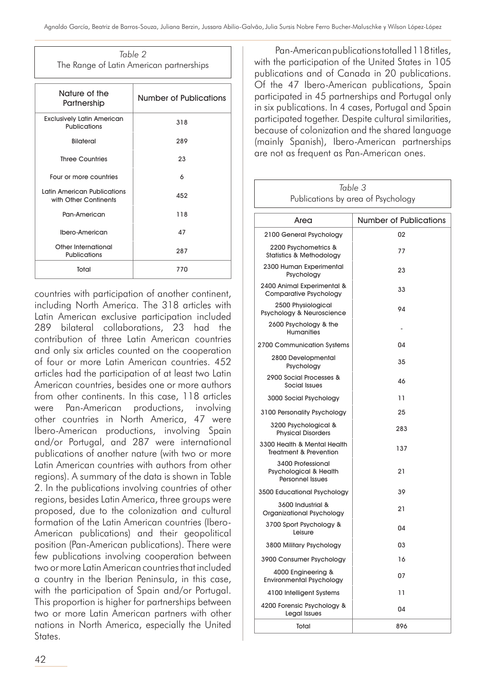| Table 2                                  |  |
|------------------------------------------|--|
| The Range of Latin American partnerships |  |

| Nature of the<br>Partnership                         | Number of Publications |
|------------------------------------------------------|------------------------|
| <b>Exclusively Latin American</b><br>Publications    | 318                    |
| Bilateral                                            | 289                    |
| <b>Three Countries</b>                               | 23                     |
| Four or more countries                               | 6                      |
| Latin American Publications<br>with Other Continents | 452                    |
| Pan-American                                         | 118                    |
| Ibero-American                                       | 47                     |
| Other International<br><b>Publications</b>           | 287                    |
| Total                                                | 770                    |

countries with participation of another continent, including North America. The 318 articles with Latin American exclusive participation included 289 bilateral collaborations, 23 had the contribution of three Latin American countries and only six articles counted on the cooperation of four or more Latin American countries. 452 articles had the participation of at least two Latin American countries, besides one or more authors from other continents. In this case, 118 articles were Pan-American productions, involving other countries in North America, 47 were Ibero-American productions, involving Spain and/or Portugal, and 287 were international publications of another nature (with two or more Latin American countries with authors from other regions). A summary of the data is shown in Table 2. In the publications involving countries of other regions, besides Latin America, three groups were proposed, due to the colonization and cultural formation of the Latin American countries (Ibero-American publications) and their geopolitical position (Pan-American publications). There were few publications involving cooperation between two or more Latin American countries that included a country in the Iberian Peninsula, in this case, with the participation of Spain and/or Portugal. This proportion is higher for partnerships between two or more Latin American partners with other nations in North America, especially the United States.

Pan-American publications totalled 118 titles, with the participation of the United States in 105 publications and of Canada in 20 publications. Of the 47 Ibero-American publications, Spain participated in 45 partnerships and Portugal only in six publications. In 4 cases, Portugal and Spain participated together. Despite cultural similarities, because of colonization and the shared language (mainly Spanish), Ibero-American partnerships are not as frequent as Pan-American ones.

| Table 3<br>Publications by area of Psychology                          |                               |
|------------------------------------------------------------------------|-------------------------------|
|                                                                        |                               |
| Area                                                                   | <b>Number of Publications</b> |
| 2100 General Psychology                                                | 02                            |
| 2200 Psychometrics &<br><b>Statistics &amp; Methodology</b>            | 77                            |
| 2300 Human Experimental<br>Psychology                                  | 23                            |
| 2400 Animal Experimental &<br><b>Comparative Psychology</b>            | 33                            |
| 2500 Physiological<br>Psychology & Neuroscience                        | 94                            |
| 2600 Psychology & the<br><b>Humanities</b>                             |                               |
| 2700 Communication Systems                                             | 04                            |
| 2800 Developmental<br>Psychology                                       | 35                            |
| 2900 Social Processes &<br>Social Issues                               | 46                            |
| 3000 Social Psychology                                                 | 11                            |
| 3100 Personality Psychology                                            | 25                            |
| 3200 Psychological &<br><b>Physical Disorders</b>                      | 283                           |
| 3300 Health & Mental Health<br><b>Treatment &amp; Prevention</b>       | 137                           |
| 3400 Professional<br>Psychological & Health<br><b>Personnel Issues</b> | 21                            |
| 3500 Educational Psychology                                            | 39                            |
| 3600 Industrial &<br>Organizational Psychology                         | 21                            |
| 3700 Sport Psychology &<br>Leisure                                     | 04                            |
| 3800 Military Psychology                                               | 03                            |
| 3900 Consumer Psychology                                               | 16                            |
| 4000 Engineering &<br><b>Environmental Psychology</b>                  | 07                            |
| 4100 Intelligent Systems                                               | 11                            |
| 4200 Forensic Psychology &<br>Legal Issues                             | 04                            |
| Total                                                                  | 896                           |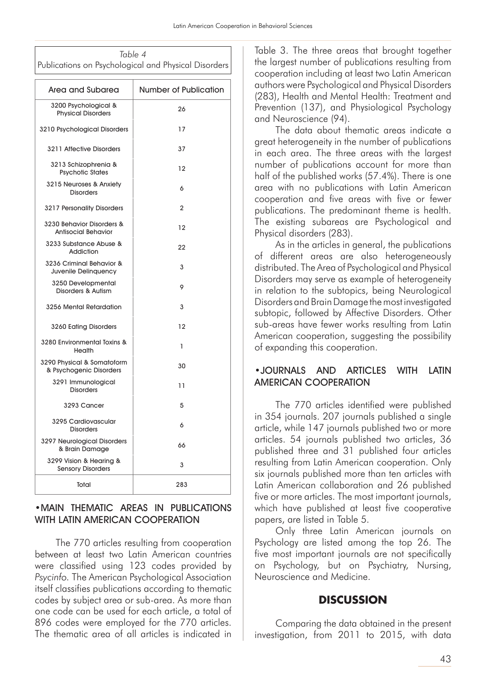| Table 4                                              |  |
|------------------------------------------------------|--|
| Publications on Psychological and Physical Disorders |  |
|                                                      |  |
|                                                      |  |

| Area and Subarea                                        | <b>Number of Publication</b> |
|---------------------------------------------------------|------------------------------|
| 3200 Psychological &<br><b>Physical Disorders</b>       | 26                           |
| 3210 Psychological Disorders                            | 17                           |
| 3211 Affective Disorders                                | 37                           |
| 3213 Schizophrenia &<br><b>Psychotic States</b>         | 12                           |
| 3215 Neuroses & Anxiety<br><b>Disorders</b>             | 6                            |
| 3217 Personality Disorders                              | $\overline{2}$               |
| 3230 Behavior Disorders &<br><b>Antisocial Behavior</b> | 12                           |
| 3233 Substance Abuse &<br>Addiction                     | 22                           |
| 3236 Criminal Behavior &<br>Juvenile Delinquency        | 3                            |
| 3250 Developmental<br>Disorders & Autism                | 9                            |
| 3256 Mental Retardation                                 | 3                            |
| 3260 Eating Disorders                                   | 12                           |
| 3280 Environmental Toxins &<br>Health                   | 1                            |
| 3290 Physical & Somatoform<br>& Psychogenic Disorders   | 30                           |
| 3291 Immunological<br><b>Disorders</b>                  | 11                           |
| 3293 Cancer                                             | 5                            |
| 3295 Cardiovascular<br><b>Disorders</b>                 | 6                            |
| 3297 Neurological Disorders<br>& Brain Damage           | 66                           |
| 3299 Vision & Hearing &<br><b>Sensory Disorders</b>     | 3                            |
| Total                                                   | 283                          |

#### •MAIN THEMATIC AREAS IN PUBLICATIONS WITH LATIN AMERICAN COOPERATION

The 770 articles resulting from cooperation between at least two Latin American countries were classified using 123 codes provided by *Psycinfo.* The American Psychological Association itself classifies publications according to thematic codes by subject area or sub-area. As more than one code can be used for each article, a total of 896 codes were employed for the 770 articles. The thematic area of all articles is indicated in

Table 3. The three areas that brought together the largest number of publications resulting from cooperation including at least two Latin American authors were Psychological and Physical Disorders (283), Health and Mental Health: Treatment and Prevention (137), and Physiological Psychology and Neuroscience (94).

The data about thematic areas indicate a great heterogeneity in the number of publications in each area. The three areas with the largest number of publications account for more than half of the published works (57.4%). There is one area with no publications with Latin American cooperation and five areas with five or fewer publications. The predominant theme is health. The existing subareas are Psychological and Physical disorders (283).

As in the articles in general, the publications of different areas are also heterogeneously distributed. The Area of Psychological and Physical Disorders may serve as example of heterogeneity in relation to the subtopics, being Neurological Disorders and Brain Damage the most investigated subtopic, followed by Affective Disorders. Other sub-areas have fewer works resulting from Latin American cooperation, suggesting the possibility of expanding this cooperation.

#### •JOURNALS AND ARTICLES WITH LATIN AMERICAN COOPERATION

The 770 articles identified were published in 354 journals. 207 journals published a single article, while 147 journals published two or more articles. 54 journals published two articles, 36 published three and 31 published four articles resulting from Latin American cooperation. Only six journals published more than ten articles with Latin American collaboration and 26 published five or more articles. The most important journals, which have published at least five cooperative papers, are listed in Table 5.

Only three Latin American journals on Psychology are listed among the top 26. The five most important journals are not specifically on Psychology, but on Psychiatry, Nursing, Neuroscience and Medicine.

#### **DISCUSSION**

Comparing the data obtained in the present investigation, from 2011 to 2015, with data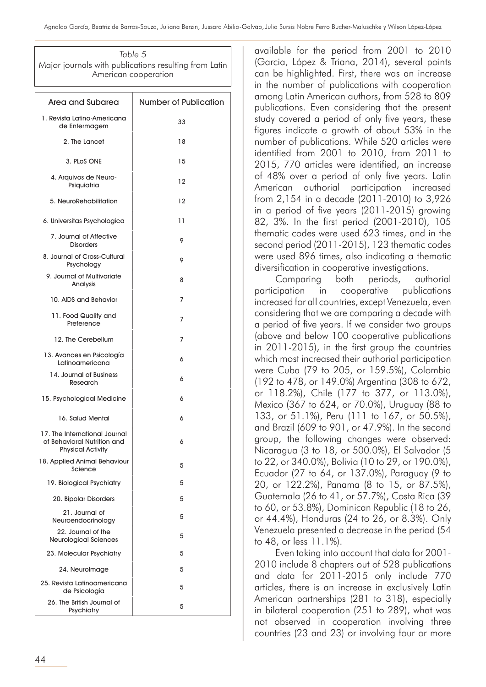*Table 5* Major journals with publications resulting from Latin American cooperation

| Area and Subarea                                                                         | <b>Number of Publication</b> |
|------------------------------------------------------------------------------------------|------------------------------|
| 1. Revista Latino-Americana<br>de Enfermagem                                             | 33                           |
| 2. The Lancet                                                                            | 18                           |
| 3. PLOS ONE                                                                              | 15                           |
| 4. Arquivos de Neuro-<br>Psiquiatria                                                     | 12                           |
| 5. NeuroRehabilitation                                                                   | 12                           |
| 6. Universitas Psychologica                                                              | 11                           |
| 7. Journal of Affective<br><b>Disorders</b>                                              | 9                            |
| 8. Journal of Cross-Cultural<br>Psychology                                               | 9                            |
| 9. Journal of Multivariate<br>Analysis                                                   | 8                            |
| 10. AIDS and Behavior                                                                    | 7                            |
| 11. Food Quality and<br>Preference                                                       | 7                            |
| 12. The Cerebellum                                                                       | 7                            |
| 13. Avances en Psicología<br>Latinoamericana                                             | 6                            |
| 14. Journal of Business<br>Research                                                      | 6                            |
| 15. Psychological Medicine                                                               | 6                            |
| 16. Salud Mental                                                                         | 6                            |
| 17. The International Journal<br>of Behavioral Nutrition and<br><b>Physical Activity</b> | 6                            |
| 18. Applied Animal Behaviour<br>Science                                                  | 5                            |
| 19. Biological Psychiatry                                                                | 5                            |
| 20. Bipolar Disorders                                                                    | 5                            |
| 21. Journal of<br>Neuroendocrinology                                                     | 5                            |
| 22. Journal of the<br><b>Neurological Sciences</b>                                       | 5                            |
| 23. Molecular Psychiatry                                                                 | 5                            |
| 24. Neurolmage                                                                           | 5                            |
| 25. Revista Latinoamericana<br>de Psicología                                             | 5                            |
| 26. The British Journal of<br>Psychiatry                                                 | 5                            |

available for the period from 2001 to 2010 (Garcia, López & Triana, 2014), several points can be highlighted. First, there was an increase in the number of publications with cooperation among Latin American authors, from 528 to 809 publications. Even considering that the present study covered a period of only five years, these figures indicate a growth of about 53% in the number of publications. While 520 articles were identified from 2001 to 2010, from 2011 to 2015, 770 articles were identified, an increase of 48% over a period of only five years. Latin American authorial participation increased from 2,154 in a decade (2011-2010) to 3,926 in a period of five years (2011-2015) growing 82, 3%. In the first period (2001-2010), 105 thematic codes were used 623 times, and in the second period (2011-2015), 123 thematic codes were used 896 times, also indicating a thematic diversification in cooperative investigations.

Comparing both periods, authorial participation in cooperative publications increased for all countries, except Venezuela, even considering that we are comparing a decade with a period of five years. If we consider two groups (above and below 100 cooperative publications in 2011-2015), in the first group the countries which most increased their authorial participation were Cuba (79 to 205, or 159.5%), Colombia (192 to 478, or 149.0%) Argentina (308 to 672, or 118.2%), Chile (177 to 377, or 113.0%), Mexico (367 to 624, or 70.0%), Uruguay (88 to 133, or 51.1%), Peru (111 to 167, or 50.5%), and Brazil (609 to 901, or 47.9%). In the second group, the following changes were observed: Nicaragua (3 to 18, or 500.0%), El Salvador (5 to 22, or 340.0%), Bolivia (10 to 29, or 190.0%), Ecuador (27 to 64, or 137.0%), Paraguay (9 to 20, or 122.2%), Panama (8 to 15, or 87.5%), Guatemala (26 to 41, or 57.7%), Costa Rica (39 to 60, or 53.8%), Dominican Republic (18 to 26, or 44.4%), Honduras (24 to 26, or 8.3%). Only Venezuela presented a decrease in the period (54 to 48, or less 11.1%).

Even taking into account that data for 2001- 2010 include 8 chapters out of 528 publications and data for 2011-2015 only include 770 articles, there is an increase in exclusively Latin American partnerships (281 to 318), especially in bilateral cooperation (251 to 289), what was not observed in cooperation involving three countries (23 and 23) or involving four or more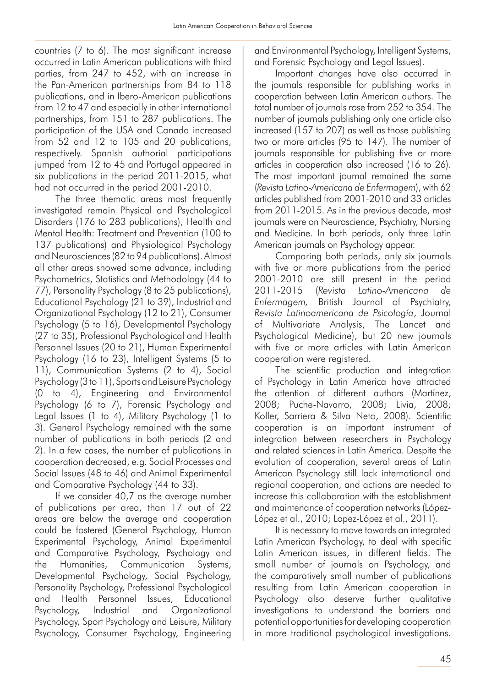countries (7 to 6). The most significant increase occurred in Latin American publications with third parties, from 247 to 452, with an increase in the Pan-American partnerships from 84 to 118 publications, and in Ibero-American publications from 12 to 47 and especially in other international partnerships, from 151 to 287 publications. The participation of the USA and Canada increased from 52 and 12 to 105 and 20 publications, respectively. Spanish authorial participations jumped from 12 to 45 and Portugal appeared in six publications in the period 2011-2015, what had not occurred in the period 2001-2010.

The three thematic areas most frequently investigated remain Physical and Psychological Disorders (176 to 283 publications), Health and Mental Health: Treatment and Prevention (100 to 137 publications) and Physiological Psychology and Neurosciences (82 to 94 publications). Almost all other areas showed some advance, including Psychometrics, Statistics and Methodology (44 to 77), Personality Psychology (8 to 25 publications), Educational Psychology (21 to 39), Industrial and Organizational Psychology (12 to 21), Consumer Psychology (5 to 16), Developmental Psychology (27 to 35), Professional Psychological and Health Personnel Issues (20 to 21), Human Experimental Psychology (16 to 23), Intelligent Systems (5 to 11), Communication Systems (2 to 4), Social Psychology (3 to 11), Sports and Leisure Psychology (0 to 4), Engineering and Environmental Psychology (6 to 7), Forensic Psychology and Legal Issues (1 to 4), Military Psychology (1 to 3). General Psychology remained with the same number of publications in both periods (2 and 2). In a few cases, the number of publications in cooperation decreased, e.g. Social Processes and Social Issues (48 to 46) and Animal Experimental and Comparative Psychology (44 to 33).

If we consider 40,7 as the average number of publications per area, than 17 out of 22 areas are below the average and cooperation could be fostered (General Psychology, Human Experimental Psychology, Animal Experimental and Comparative Psychology, Psychology and the Humanities, Communication Systems, Developmental Psychology, Social Psychology, Personality Psychology, Professional Psychological and Health Personnel Issues, Educational Psychology, Industrial and Organizational Psychology, Sport Psychology and Leisure, Military Psychology, Consumer Psychology, Engineering and Environmental Psychology, Intelligent Systems, and Forensic Psychology and Legal Issues).

Important changes have also occurred in the journals responsible for publishing works in cooperation between Latin American authors. The total number of journals rose from 252 to 354. The number of journals publishing only one article also increased (157 to 207) as well as those publishing two or more articles (95 to 147). The number of journals responsible for publishing five or more articles in cooperation also increased (16 to 26). The most important journal remained the same (*Revista Latino-Americana de Enfermagem*), with 62 articles published from 2001-2010 and 33 articles from 2011-2015. As in the previous decade, most journals were on Neuroscience, Psychiatry, Nursing and Medicine. In both periods, only three Latin American journals on Psychology appear.

Comparing both periods, only six journals with five or more publications from the period 2001-2010 are still present in the period 2011-2015 (*Revista Latino-Americana de Enfermagem,* British Journal of Psychiatry, *Revista Latinoamericana de Psicología*, Journal of Multivariate Analysis, The Lancet and Psychological Medicine), but 20 new journals with five or more articles with Latin American cooperation were registered.

The scientific production and integration of Psychology in Latin America have attracted the attention of different authors (Martínez, 2008; Puche-Navarro, 2008; Livia, 2008; Koller, Sarriera & Silva Neto, 2008). Scientific cooperation is an important instrument of integration between researchers in Psychology and related sciences in Latin America. Despite the evolution of cooperation, several areas of Latin American Psychology still lack international and regional cooperation, and actions are needed to increase this collaboration with the establishment and maintenance of cooperation networks (López-López et al., 2010; Lopez-López et al., 2011).

It is necessary to move towards an integrated Latin American Psychology, to deal with specific Latin American issues, in different fields. The small number of journals on Psychology, and the comparatively small number of publications resulting from Latin American cooperation in Psychology also deserve further qualitative investigations to understand the barriers and potential opportunities for developing cooperation in more traditional psychological investigations.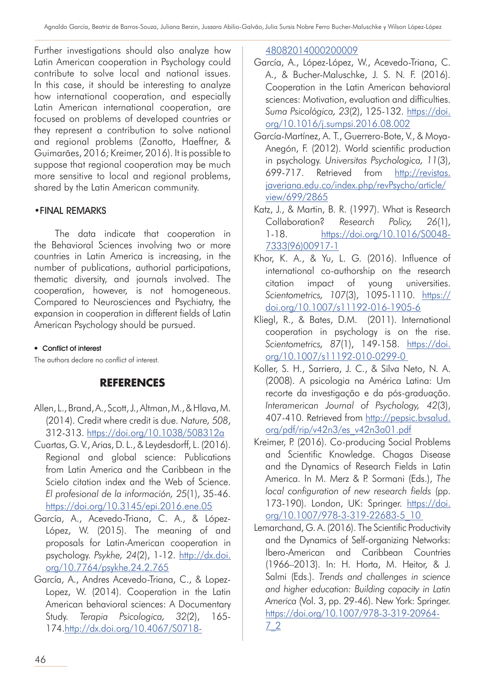Further investigations should also analyze how Latin American cooperation in Psychology could contribute to solve local and national issues. In this case, it should be interesting to analyze how international cooperation, and especially Latin American international cooperation, are focused on problems of developed countries or they represent a contribution to solve national and regional problems (Zanotto, Haeffner, & Guimarães, 2016; Kreimer, 2016). It is possible to suppose that regional cooperation may be much more sensitive to local and regional problems, shared by the Latin American community.

# •FINAL REMARKS

The data indicate that cooperation in the Behavioral Sciences involving two or more countries in Latin America is increasing, in the number of publications, authorial participations, thematic diversity, and journals involved. The cooperation, however, is not homogeneous. Compared to Neurosciences and Psychiatry, the expansion in cooperation in different fields of Latin American Psychology should be pursued.

#### • Conflict of interest

The authors declare no conflict of interest.

# **REFERENCES**

- Allen, L., Brand, A., Scott, J., Altman, M., & Hlava, M. (2014). Credit where credit is due. *Nature, 508*, 312-313. https://doi.org/10.1038/508312a
- Cuartas, G. V., Arias, D. L., & Leydesdorff, L. (2016). Regional and global science: Publications from Latin America and the Caribbean in the Scielo citation index and the Web of Science. *El profesional de la información, 25*(1), 35-46. https://doi.org/10.3145/epi.2016.ene.05
- García, A., Acevedo-Triana, C. A., & López-López, W. (2015). The meaning of and proposals for Latin-American cooperation in psychology. *Psykhe, 24*(2), 1-12. http://dx.doi. org/10.7764/psykhe.24.2.765
- García, A., Andres Acevedo-Triana, C., & Lopez-Lopez, W. (2014). Cooperation in the Latin American behavioral sciences: A Documentary Study. *Terapia Psicologica, 32*(2), 165- 174.http://dx.doi.org/10.4067/S0718-

#### 48082014000200009

- García, A., López-López, W., Acevedo-Triana, C. A., & Bucher-Maluschke, J. S. N. F. (2016). Cooperation in the Latin American behavioral sciences: Motivation, evaluation and difficulties. *Suma Psicológica, 23*(2), 125-132. https://doi. org/10.1016/j.sumpsi.2016.08.002
- García-Martínez, A. T., Guerrero-Bote, V., & Moya-Anegón, F. (2012). World scientific production in psychology. *Universitas Psychologica, 11*(3), 699-717. Retrieved from http://revistas. javeriana.edu.co/index.php/revPsycho/article/ view/699/2865
- Katz, J., & Martin, B. R. (1997). What is Research Collaboration? *Research Policy, 26*(1), 1-18. https://doi.org/10.1016/S0048- 7333(96)00917-1
- Khor, K. A., & Yu, L. G. (2016). Influence of international co-authorship on the research citation impact of young universities. *Scientometrics, 107*(3), 1095-1110. https:// doi.org/10.1007/s11192-016-1905-6
- Kliegl, R., & Bates, D.M. (2011). International cooperation in psychology is on the rise. *Scientometrics, 87*(1), 149-158. https://doi. org/10.1007/s11192-010-0299-0
- Koller, S. H., Sarriera, J. C., & Silva Neto, N. A. (2008). A psicologia na América Latina: Um recorte da investigação e da pós-graduação. *Interamerican Journal of Psychology, 42*(3), 407-410. Retrieved from http://pepsic.bvsalud. org/pdf/rip/v42n3/es\_v42n3a01.pdf
- Kreimer, P. (2016). Co-producing Social Problems and Scientific Knowledge. Chagas Disease and the Dynamics of Research Fields in Latin America. In M. Merz & P. Sormani (Eds.), *The local configuration of new research fields* (pp. 173-190). London, UK: Springer. https://doi. org/10.1007/978-3-319-22683-5\_10
- Lemarchand, G. A. (2016). The Scientific Productivity and the Dynamics of Self-organizing Networks: Ibero-American and Caribbean Countries (1966–2013). In: H. Horta, M. Heitor, & J. Salmi (Eds.). *Trends and challenges in science and higher education: Building capacity in Latin America* (Vol. 3, pp. 29-46). New York: Springer. https://doi.org/10.1007/978-3-319-20964- 7\_2